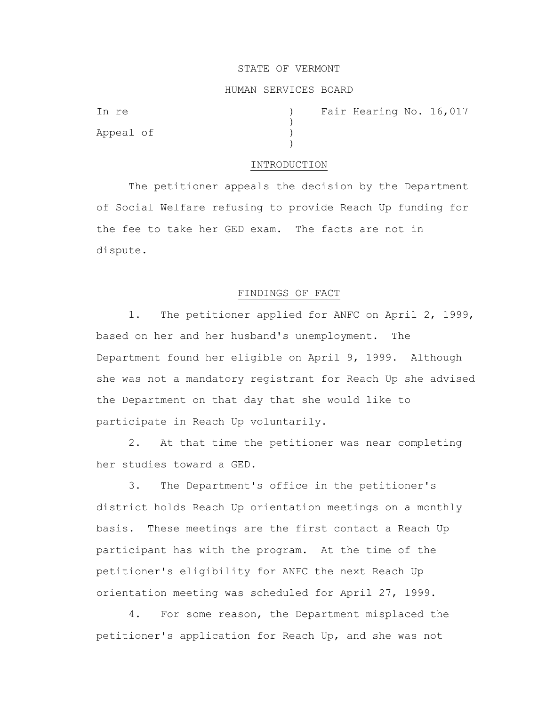#### STATE OF VERMONT

### HUMAN SERVICES BOARD

)

)

Appeal of )

In re (a) The Fair Hearing No. 16,017

#### INTRODUCTION

The petitioner appeals the decision by the Department of Social Welfare refusing to provide Reach Up funding for the fee to take her GED exam. The facts are not in dispute.

## FINDINGS OF FACT

1. The petitioner applied for ANFC on April 2, 1999, based on her and her husband's unemployment. The Department found her eligible on April 9, 1999. Although she was not a mandatory registrant for Reach Up she advised the Department on that day that she would like to participate in Reach Up voluntarily.

2. At that time the petitioner was near completing her studies toward a GED.

3. The Department's office in the petitioner's district holds Reach Up orientation meetings on a monthly basis. These meetings are the first contact a Reach Up participant has with the program. At the time of the petitioner's eligibility for ANFC the next Reach Up orientation meeting was scheduled for April 27, 1999.

4. For some reason, the Department misplaced the petitioner's application for Reach Up, and she was not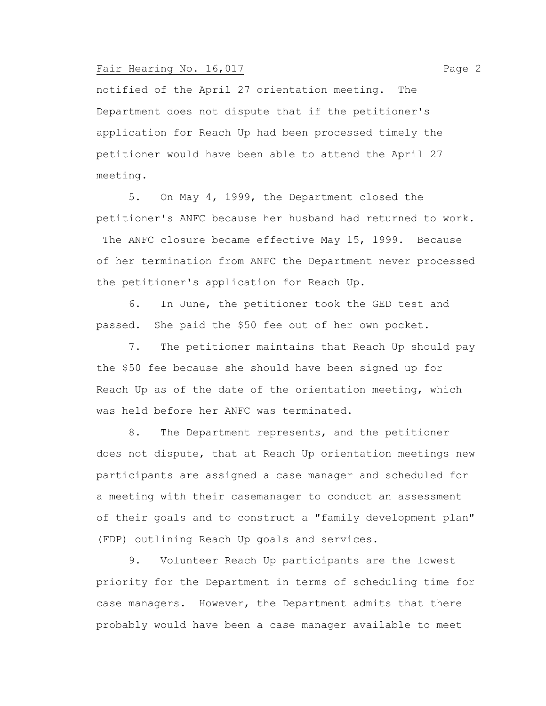## Fair Hearing No. 16,017 Page 2

notified of the April 27 orientation meeting. The Department does not dispute that if the petitioner's application for Reach Up had been processed timely the petitioner would have been able to attend the April 27 meeting.

5. On May 4, 1999, the Department closed the petitioner's ANFC because her husband had returned to work.

The ANFC closure became effective May 15, 1999. Because of her termination from ANFC the Department never processed the petitioner's application for Reach Up.

6. In June, the petitioner took the GED test and passed. She paid the \$50 fee out of her own pocket.

7. The petitioner maintains that Reach Up should pay the \$50 fee because she should have been signed up for Reach Up as of the date of the orientation meeting, which was held before her ANFC was terminated.

8. The Department represents, and the petitioner does not dispute, that at Reach Up orientation meetings new participants are assigned a case manager and scheduled for a meeting with their casemanager to conduct an assessment of their goals and to construct a "family development plan" (FDP) outlining Reach Up goals and services.

9. Volunteer Reach Up participants are the lowest priority for the Department in terms of scheduling time for case managers. However, the Department admits that there probably would have been a case manager available to meet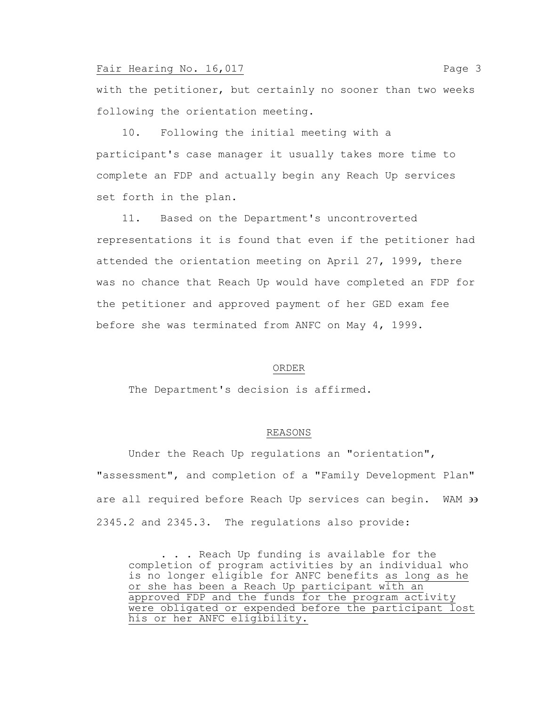## Fair Hearing No. 16,017 Page 3

with the petitioner, but certainly no sooner than two weeks following the orientation meeting.

 10. Following the initial meeting with a participant's case manager it usually takes more time to complete an FDP and actually begin any Reach Up services set forth in the plan.

 11. Based on the Department's uncontroverted representations it is found that even if the petitioner had attended the orientation meeting on April 27, 1999, there was no chance that Reach Up would have completed an FDP for the petitioner and approved payment of her GED exam fee before she was terminated from ANFC on May 4, 1999.

#### ORDER

The Department's decision is affirmed.

# REASONS

Under the Reach Up regulations an "orientation", "assessment", and completion of a "Family Development Plan" are all required before Reach Up services can begin. WAM  $\overline{\mathcal{P}}$ 2345.2 and 2345.3. The regulations also provide:

. . . Reach Up funding is available for the completion of program activities by an individual who is no longer eligible for ANFC benefits as long as he or she has been a Reach Up participant with an approved FDP and the funds for the program activity were obligated or expended before the participant lost his or her ANFC eligibility.